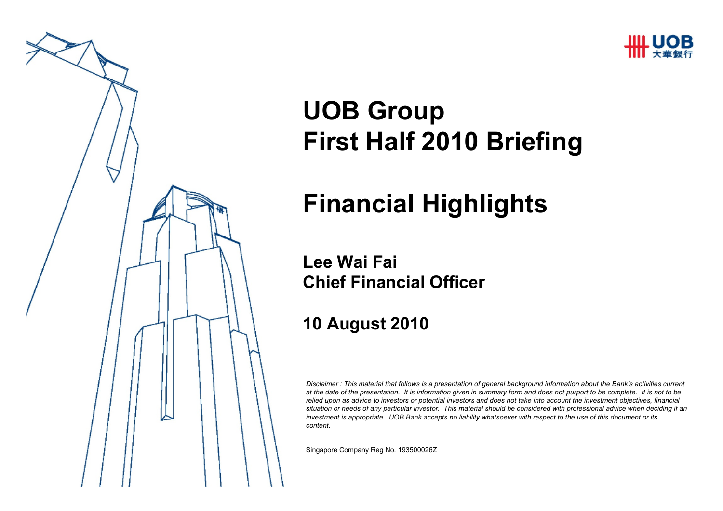



## **UOB GroupFirst Half 2010 Briefing**

### **Financial Highlights**

#### **Lee Wai FaiChief Financial Officer**

### **10 August 2010**

*Disclaimer : This material that follows is a presentation of general background information about the Bank's activities current at the date of the presentation. It is information given in summary form and does not purport to be complete. It is not to be relied upon as advice to investors or potential investors and does not take into account the investment objectives, financial situation or needs of any particular investor. This material should be considered with professional advice when deciding if an investment is appropriate. UOB Bank accepts no liability whatsoever with respect to the use of this document or its content.*

Singapore Company Reg No. 193500026Z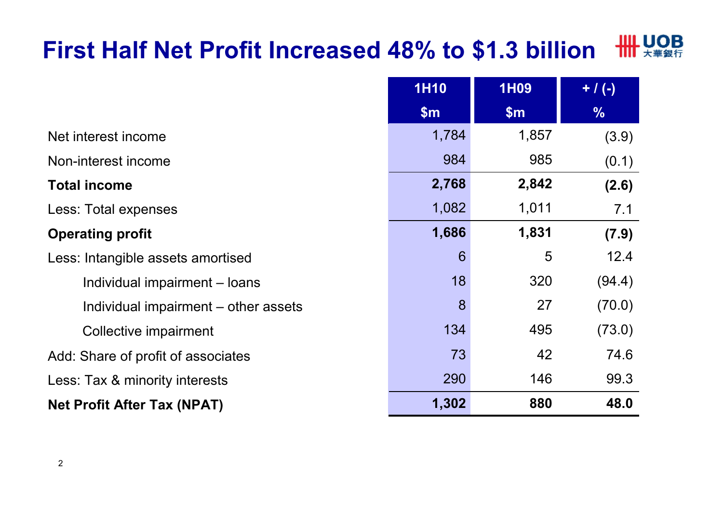#### **HILL UOB First Half Net Profit Increased 48% to \$1.3 billion** $\mathbf{m}$

|                                      | <b>1H10</b>   | <b>1H09</b> | $+ / ( - )$   |
|--------------------------------------|---------------|-------------|---------------|
|                                      | $\mathsf{Sm}$ | \$m\$       | $\frac{9}{6}$ |
| Net interest income                  | 1,784         | 1,857       | (3.9)         |
| Non-interest income                  | 984           | 985         | (0.1)         |
| <b>Total income</b>                  | 2,768         | 2,842       | (2.6)         |
| Less: Total expenses                 | 1,082         | 1,011       | 7.1           |
| <b>Operating profit</b>              | 1,686         | 1,831       | (7.9)         |
| Less: Intangible assets amortised    | 6             | 5           | 12.4          |
| Individual impairment - loans        | 18            | 320         | (94.4)        |
| Individual impairment – other assets | 8             | 27          | (70.0)        |
| Collective impairment                | 134           | 495         | (73.0)        |
| Add: Share of profit of associates   | 73            | 42          | 74.6          |
| Less: Tax & minority interests       | 290           | 146         | 99.3          |
| <b>Net Profit After Tax (NPAT)</b>   | 1,302         | 880         | 48.0          |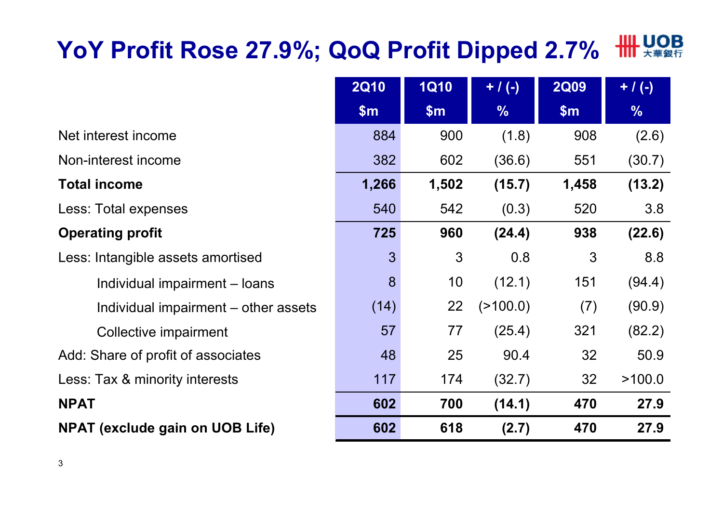# **YoY Profit Rose 27.9%; QoQ Profit Dipped 2.7%**

|                                        | <b>2Q10</b> | <b>1Q10</b> | $+ / (-)$     | <b>2Q09</b> | $+$ / (-)     |
|----------------------------------------|-------------|-------------|---------------|-------------|---------------|
|                                        | \$m\$       | \$m\$       | $\frac{9}{6}$ | \$m\$       | $\frac{9}{6}$ |
| Net interest income                    | 884         | 900         | (1.8)         | 908         | (2.6)         |
| Non-interest income                    | 382         | 602         | (36.6)        | 551         | (30.7)        |
| <b>Total income</b>                    | 1,266       | 1,502       | (15.7)        | 1,458       | (13.2)        |
| Less: Total expenses                   | 540         | 542         | (0.3)         | 520         | 3.8           |
| <b>Operating profit</b>                | 725         | 960         | (24.4)        | 938         | (22.6)        |
| Less: Intangible assets amortised      | 3           | 3           | 0.8           | 3           | 8.8           |
| Individual impairment – loans          | 8           | 10          | (12.1)        | 151         | (94.4)        |
| Individual impairment – other assets   | (14)        | 22          | (2100.0)      | (7)         | (90.9)        |
| Collective impairment                  | 57          | 77          | (25.4)        | 321         | (82.2)        |
| Add: Share of profit of associates     | 48          | 25          | 90.4          | 32          | 50.9          |
| Less: Tax & minority interests         | 117         | 174         | (32.7)        | 32          | >100.0        |
| <b>NPAT</b>                            | 602         | 700         | (14.1)        | 470         | 27.9          |
| <b>NPAT (exclude gain on UOB Life)</b> | 602         | 618         | (2.7)         | 470         | 27.9          |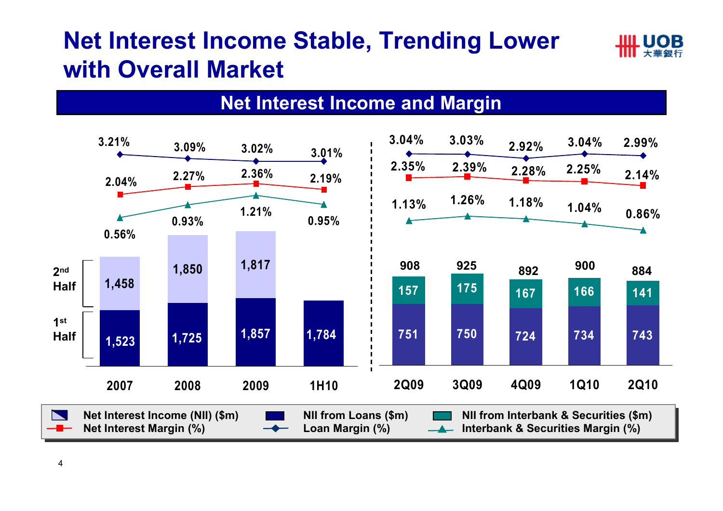### **Net Interest Income Stable, Trending Lower with Overall Market**



#### **Net Interest Income and Margin**

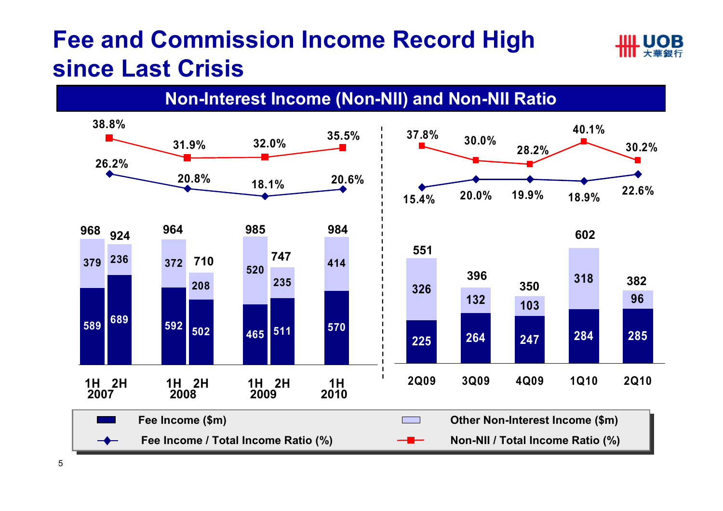### **Fee and Commission Income Record High since Last Crisis**

**Non-Interest Income (Non-NII) and Non-NII Ratio**

IIII HOR

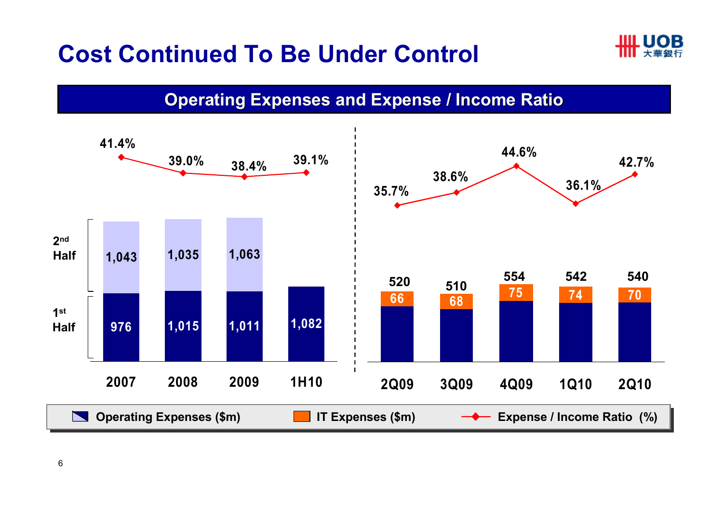### **Cost Continued To Be Under Control**



**Operating Expenses and Expense / Income Ratio**

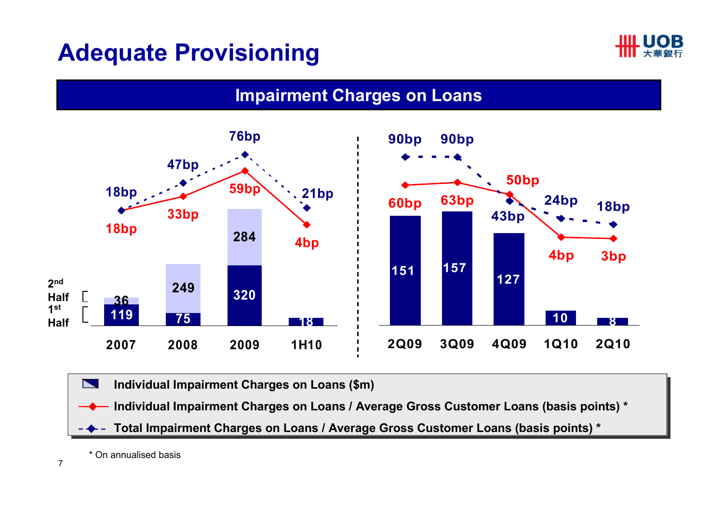### **Adequate Provisioning**





N **Individual Impairment Charges on Loans (\$m) Individual Impairment Charges on Loans (\$m)** 

**Individual Impairment Charges on Loans / Average Gross Customer Loans (basis points) \***

**Total Impairment Charges on Loans / Average Gross Customer Loans (basis points) \***

\* On annualised basis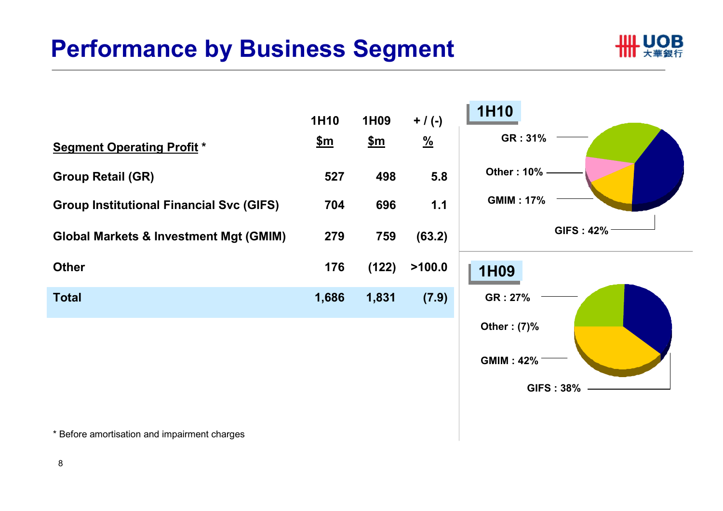### **Performance by Business Segment**





\* Before amortisation and impairment charges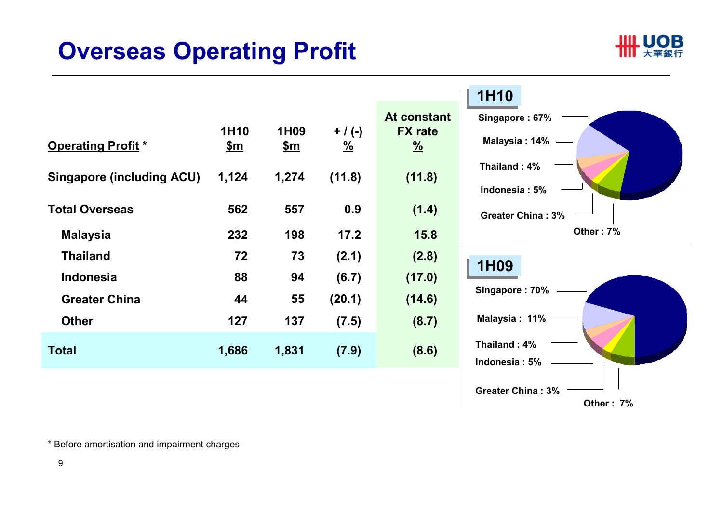### **Overseas Operating Profit**



| <b>Operating Profit *</b>        | 1H10<br><u>\$m</u> | 1H <sub>09</sub><br><u>\$m</u> | $+ / ( - )$<br>$\frac{9}{6}$ | At consta<br><b>FX rate</b><br>$\frac{9}{6}$ |
|----------------------------------|--------------------|--------------------------------|------------------------------|----------------------------------------------|
| <b>Singapore (including ACU)</b> | 1,124              | 1,274                          | (11.8)                       | (11.8)                                       |
| <b>Total Overseas</b>            | 562                | 557                            | 0.9                          | (1.4)                                        |
| <b>Malaysia</b>                  | 232                | 198                            | 17.2                         | 15.8                                         |
| <b>Thailand</b>                  | 72                 | 73                             | (2.1)                        | (2.8)                                        |
| <b>Indonesia</b>                 | 88                 | 94                             | (6.7)                        | (17.0)                                       |
| <b>Greater China</b>             | 44                 | 55                             | (20.1)                       | (14.6)                                       |
| <b>Other</b>                     | 127                | 137                            | (7.5)                        | (8.7)                                        |
| <b>Total</b>                     | 1,686              | 1,831                          | (7.9)                        | (8.6)                                        |



\* Before amortisation and impairment charges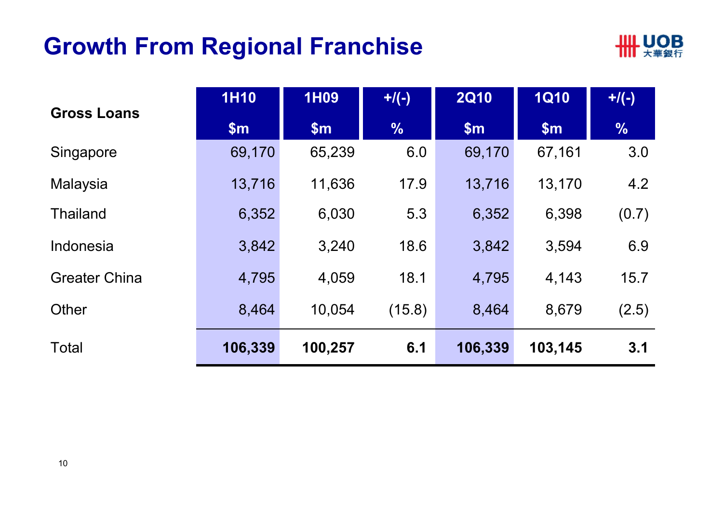### **Growth From Regional Franchise**



| <b>Gross Loans</b>   | <b>1H10</b> | <b>1H09</b> | $+$ /(-)      | <b>2Q10</b>   | <b>1Q10</b> | $+$ /(-)      |
|----------------------|-------------|-------------|---------------|---------------|-------------|---------------|
|                      | \$m\$       | \$m\$       | $\frac{9}{6}$ | $\mathsf{Sm}$ | \$m\$       | $\frac{0}{6}$ |
| Singapore            | 69,170      | 65,239      | 6.0           | 69,170        | 67,161      | 3.0           |
| Malaysia             | 13,716      | 11,636      | 17.9          | 13,716        | 13,170      | 4.2           |
| <b>Thailand</b>      | 6,352       | 6,030       | 5.3           | 6,352         | 6,398       | (0.7)         |
| Indonesia            | 3,842       | 3,240       | 18.6          | 3,842         | 3,594       | 6.9           |
| <b>Greater China</b> | 4,795       | 4,059       | 18.1          | 4,795         | 4,143       | 15.7          |
| Other                | 8,464       | 10,054      | (15.8)        | 8,464         | 8,679       | (2.5)         |
| <b>Total</b>         | 106,339     | 100,257     | 6.1           | 106,339       | 103,145     | 3.1           |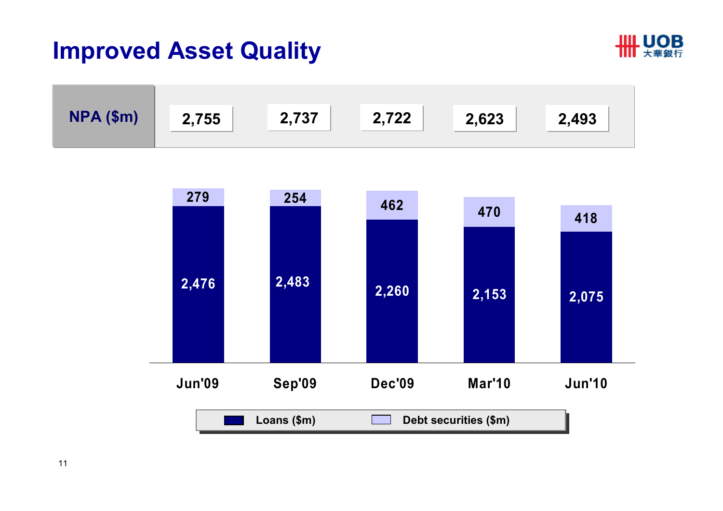### **Improved Asset Quality**





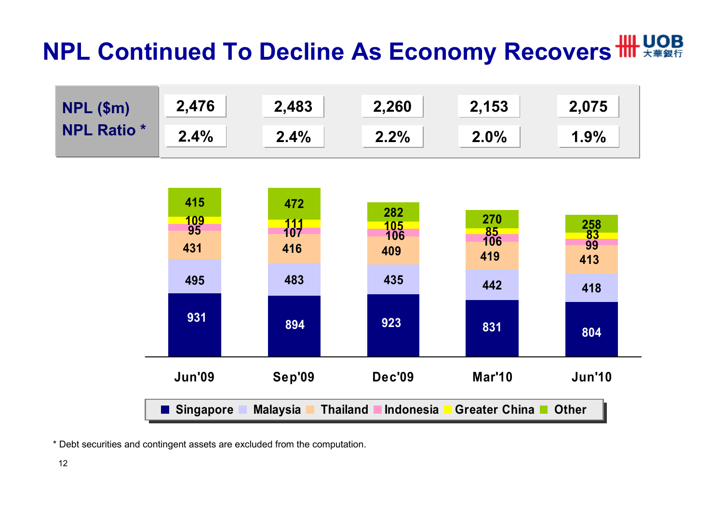## **NPL Continued To Decline As Economy Recovers**  $\mathbf{H}\mathbf{H}$  **LOB**





\* Debt securities and contingent assets are excluded from the computation.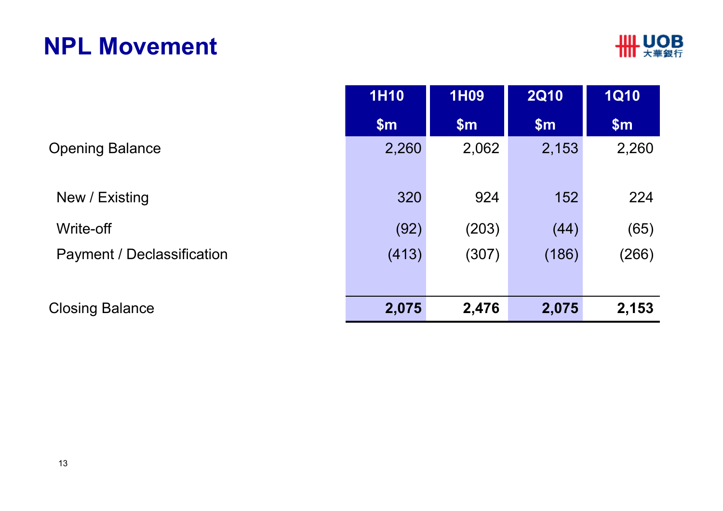### **NPL Movement**

|                            | <b>1H10</b> | <b>1H09</b> | <b>2Q10</b> | <b>1Q10</b>   |
|----------------------------|-------------|-------------|-------------|---------------|
|                            | \$m\$       | \$m\$       | \$m\$       | $\mathsf{Sm}$ |
| <b>Opening Balance</b>     | 2,260       | 2,062       | 2,153       | 2,260         |
| New / Existing             | 320         | 924         | 152         | 224           |
| Write-off                  | (92)        | (203)       | (44)        | (65)          |
| Payment / Declassification | (413)       | (307)       | (186)       | (266)         |
| <b>Closing Balance</b>     | 2,075       | 2,476       | 2,075       | 2,153         |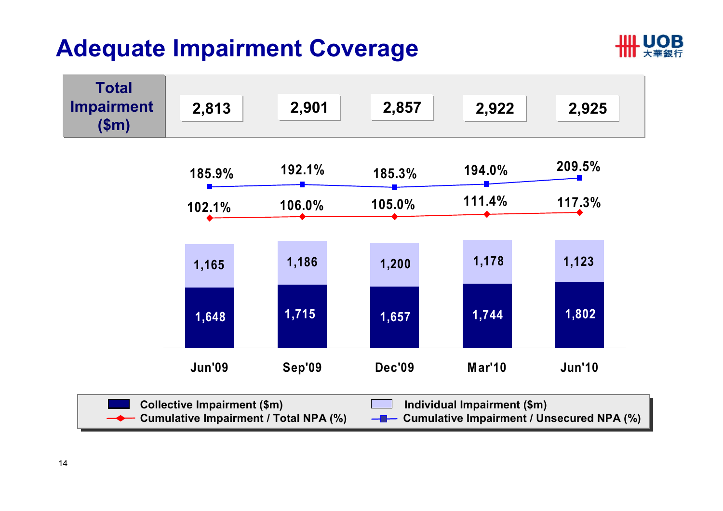### **Adequate Impairment Coverage**



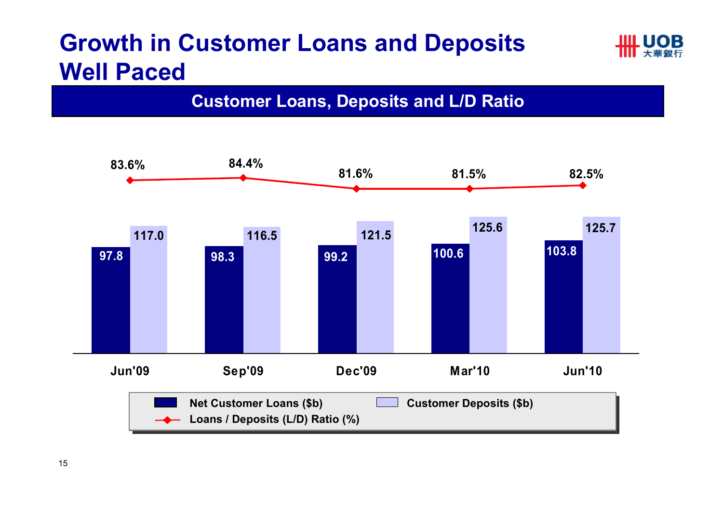### **Growth in Customer Loans and Deposits Well Paced**



#### **Customer Loans, Deposits and L/D Ratio**

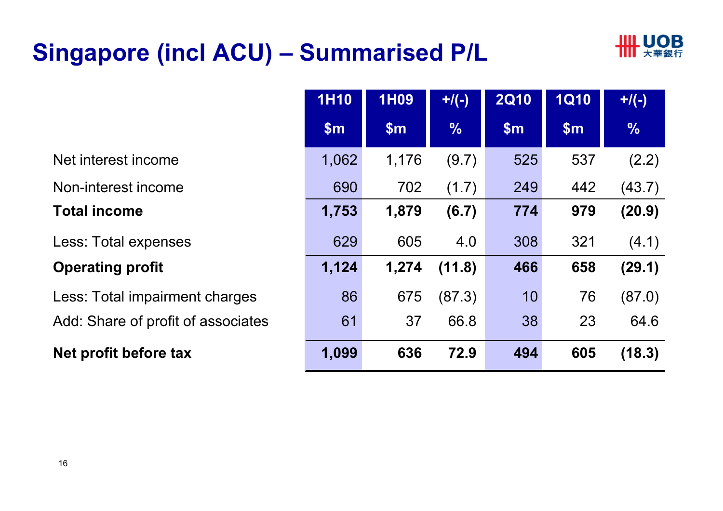### **Singapore (incl ACU) – Summarised P/L**



|                                    | <b>1H10</b> | <b>1H09</b> | $+$ /(-)      | <b>2Q10</b>   | <b>1Q10</b> | $+$ /(-)      |
|------------------------------------|-------------|-------------|---------------|---------------|-------------|---------------|
|                                    | \$m\$       | \$m\$       | $\frac{0}{6}$ | $\mathsf{Sm}$ | \$m\$       | $\frac{0}{6}$ |
| Net interest income                | 1,062       | 1,176       | (9.7)         | 525           | 537         | (2.2)         |
| Non-interest income                | 690         | 702         | (1.7)         | 249           | 442         | (43.7)        |
| <b>Total income</b>                | 1,753       | 1,879       | (6.7)         | 774           | 979         | (20.9)        |
| Less: Total expenses               | 629         | 605         | 4.0           | 308           | 321         | (4.1)         |
| <b>Operating profit</b>            | 1,124       | 1,274       | (11.8)        | 466           | 658         | (29.1)        |
| Less: Total impairment charges     | 86          | 675         | (87.3)        | 10            | 76          | (87.0)        |
| Add: Share of profit of associates | 61          | 37          | 66.8          | 38            | 23          | 64.6          |
| Net profit before tax              | 1,099       | 636         | 72.9          | 494           | 605         | (18.3)        |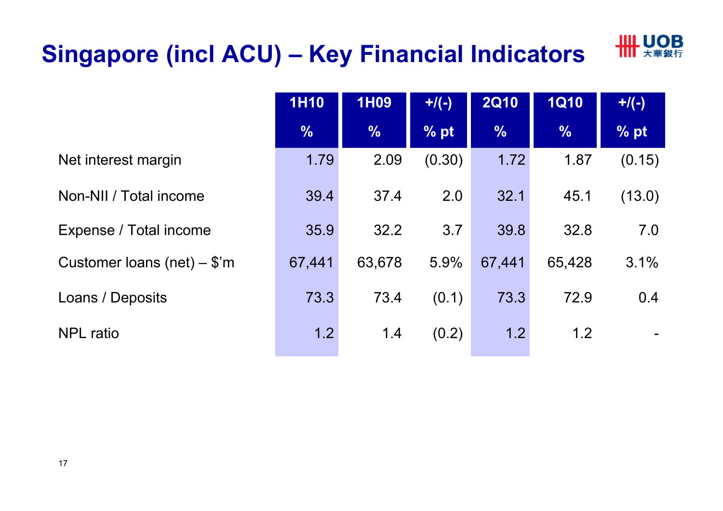## **Singapore (incl ACU) – Key Financial Indicators**



|                               | <b>1H10</b>   | <b>1H09</b>   | $+$ /(-) | <b>2Q10</b>   | <b>1Q10</b>   | $+$ /(-) |
|-------------------------------|---------------|---------------|----------|---------------|---------------|----------|
|                               | $\frac{0}{6}$ | $\frac{9}{6}$ | % pt     | $\frac{9}{6}$ | $\frac{0}{6}$ | % pt     |
| Net interest margin           | 1.79          | 2.09          | (0.30)   | 1.72          | 1.87          | (0.15)   |
| Non-NII / Total income        | 39.4          | 37.4          | 2.0      | 32.1          | 45.1          | (13.0)   |
| Expense / Total income        | 35.9          | 32.2          | 3.7      | 39.8          | 32.8          | 7.0      |
| Customer loans (net) $-$ \$'m | 67,441        | 63,678        | 5.9%     | 67,441        | 65,428        | 3.1%     |
| Loans / Deposits              | 73.3          | 73.4          | (0.1)    | 73.3          | 72.9          | 0.4      |
| <b>NPL</b> ratio              | 1.2           | 1.4           | (0.2)    | 1.2           | 1.2           |          |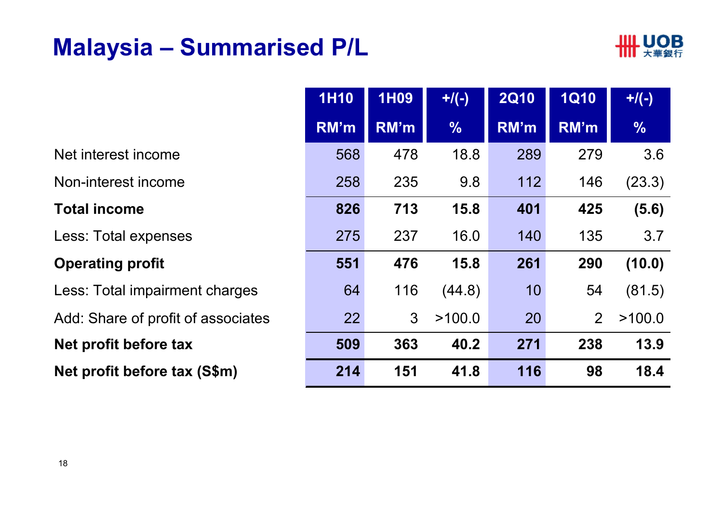### **Malaysia – Summarised P/L**



|                                    | <b>1H10</b> | <b>1H09</b> | $+$ /(-)      | <b>2Q10</b> | <b>1Q10</b>    | $+$ /(-)      |
|------------------------------------|-------------|-------------|---------------|-------------|----------------|---------------|
|                                    | RM'm        | RM'm        | $\frac{9}{6}$ | RM'm        | RM'm           | $\frac{0}{6}$ |
| Net interest income                | 568         | 478         | 18.8          | 289         | 279            | 3.6           |
| Non-interest income                | 258         | 235         | 9.8           | 112         | 146            | (23.3)        |
| <b>Total income</b>                | 826         | 713         | 15.8          | 401         | 425            | (5.6)         |
| Less: Total expenses               | 275         | 237         | 16.0          | 140         | 135            | 3.7           |
| <b>Operating profit</b>            | 551         | 476         | 15.8          | 261         | 290            | (10.0)        |
| Less: Total impairment charges     | 64          | 116         | (44.8)        | 10          | 54             | (81.5)        |
| Add: Share of profit of associates | 22          | 3           | >100.0        | 20          | $\overline{2}$ | >100.0        |
| Net profit before tax              | 509         | 363         | 40.2          | 271         | 238            | 13.9          |
| Net profit before tax (S\$m)       | 214         | 151         | 41.8          | 116         | 98             | 18.4          |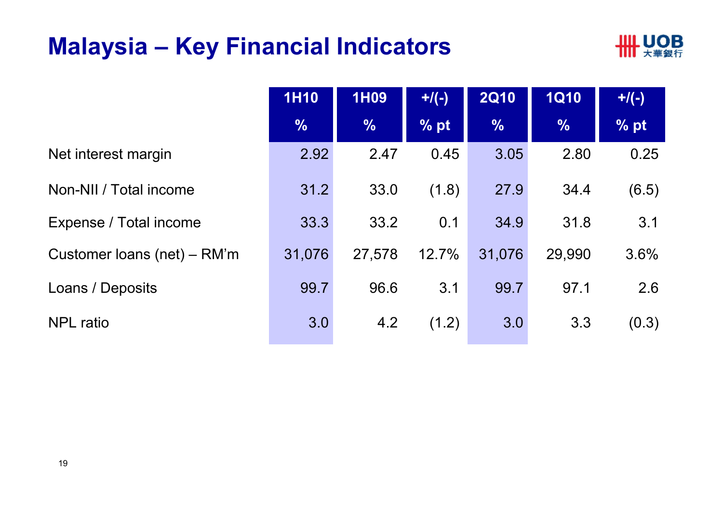### **Malaysia – Key Financial Indicators**



|                             | <b>1H10</b>   | <b>1H09</b>   | $+$ /(-)          | <b>2Q10</b>   | <b>1Q10</b>   | $+/(-)$ |
|-----------------------------|---------------|---------------|-------------------|---------------|---------------|---------|
|                             | $\frac{0}{6}$ | $\frac{0}{6}$ | $%$ <sub>pt</sub> | $\frac{0}{6}$ | $\frac{0}{0}$ | % pt    |
| Net interest margin         | 2.92          | 2.47          | 0.45              | 3.05          | 2.80          | 0.25    |
| Non-NII / Total income      | 31.2          | 33.0          | (1.8)             | 27.9          | 34.4          | (6.5)   |
| Expense / Total income      | 33.3          | 33.2          | 0.1               | 34.9          | 31.8          | 3.1     |
| Customer loans (net) – RM'm | 31,076        | 27,578        | 12.7%             | 31,076        | 29,990        | 3.6%    |
| Loans / Deposits            | 99.7          | 96.6          | 3.1               | 99.7          | 97.1          | 2.6     |
| <b>NPL</b> ratio            | 3.0           | 4.2           | (1.2)             | 3.0           | 3.3           | (0.3)   |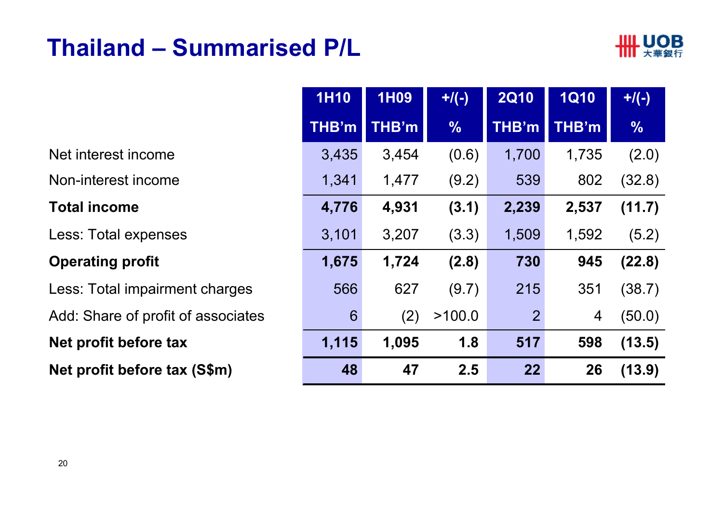### **Thailand – Summarised P/L**



|                                    | <b>1H10</b> | <b>1H09</b> | $+$ /(-)      | <b>2Q10</b>    | <b>1Q10</b>    | $+$ /(-)      |
|------------------------------------|-------------|-------------|---------------|----------------|----------------|---------------|
|                                    | THB'm       | THB'm       | $\frac{1}{2}$ | THB'm          | THB'm          | $\frac{0}{0}$ |
| Net interest income                | 3,435       | 3,454       | (0.6)         | 1,700          | 1,735          | (2.0)         |
| Non-interest income                | 1,341       | 1,477       | (9.2)         | 539            | 802            | (32.8)        |
| <b>Total income</b>                | 4,776       | 4,931       | (3.1)         | 2,239          | 2,537          | (11.7)        |
| Less: Total expenses               | 3,101       | 3,207       | (3.3)         | 1,509          | 1,592          | (5.2)         |
| <b>Operating profit</b>            | 1,675       | 1,724       | (2.8)         | 730            | 945            | (22.8)        |
| Less: Total impairment charges     | 566         | 627         | (9.7)         | 215            | 351            | (38.7)        |
| Add: Share of profit of associates | 6           | (2)         | >100.0        | $\overline{2}$ | $\overline{4}$ | (50.0)        |
| Net profit before tax              | 1,115       | 1,095       | 1.8           | 517            | 598            | (13.5)        |
| Net profit before tax (S\$m)       | 48          | 47          | 2.5           | 22             | 26             | (13.9)        |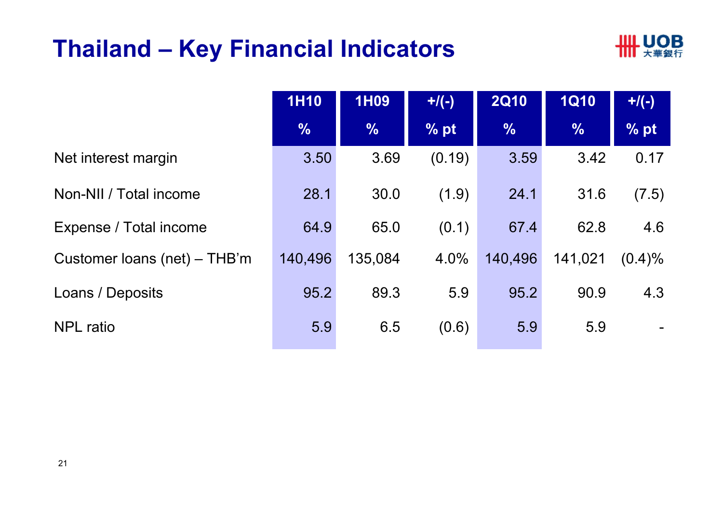### **Thailand – Key Financial Indicators**



|                              | <b>1H10</b>   | <b>1H09</b>   | $+/(-)$           | <b>2Q10</b>   | <b>1Q10</b>   | $+$ /(-)  |
|------------------------------|---------------|---------------|-------------------|---------------|---------------|-----------|
|                              | $\frac{0}{0}$ | $\frac{0}{6}$ | $%$ <sub>pt</sub> | $\frac{9}{6}$ | $\frac{0}{6}$ | % pt      |
| Net interest margin          | 3.50          | 3.69          | (0.19)            | 3.59          | 3.42          | 0.17      |
| Non-NII / Total income       | 28.1          | 30.0          | (1.9)             | 24.1          | 31.6          | (7.5)     |
| Expense / Total income       | 64.9          | 65.0          | (0.1)             | 67.4          | 62.8          | 4.6       |
| Customer loans (net) – THB'm | 140,496       | 135,084       | 4.0%              | 140,496       | 141,021       | $(0.4)\%$ |
| Loans / Deposits             | 95.2          | 89.3          | 5.9               | 95.2          | 90.9          | 4.3       |
| <b>NPL</b> ratio             | 5.9           | 6.5           | (0.6)             | 5.9           | 5.9           |           |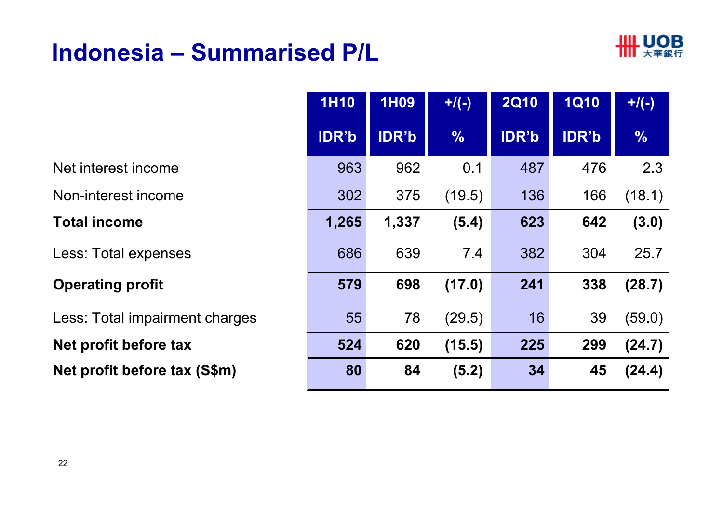### **Indonesia – Summarised P/L**



|                                | <b>1H10</b>  | <b>1H09</b>  | $+$ /(-)      | <b>2Q10</b>  | <b>1Q10</b>  | $+$ /(-)      |
|--------------------------------|--------------|--------------|---------------|--------------|--------------|---------------|
|                                | <b>IDR'b</b> | <b>IDR'b</b> | $\frac{0}{6}$ | <b>IDR'b</b> | <b>IDR'b</b> | $\frac{0}{6}$ |
| Net interest income            | 963          | 962          | 0.1           | 487          | 476          | 2.3           |
| Non-interest income            | 302          | 375          | (19.5)        | 136          | 166          | (18.1)        |
| <b>Total income</b>            | 1,265        | 1,337        | (5.4)         | 623          | 642          | (3.0)         |
| Less: Total expenses           | 686          | 639          | 7.4           | 382          | 304          | 25.7          |
| <b>Operating profit</b>        | 579          | 698          | (17.0)        | 241          | 338          | (28.7)        |
| Less: Total impairment charges | 55           | 78           | (29.5)        | 16           | 39           | (59.0)        |
| Net profit before tax          | 524          | 620          | (15.5)        | 225          | 299          | (24.7)        |
| Net profit before tax (S\$m)   | 80           | 84           | (5.2)         | 34           | 45           | (24.4)        |
|                                |              |              |               |              |              |               |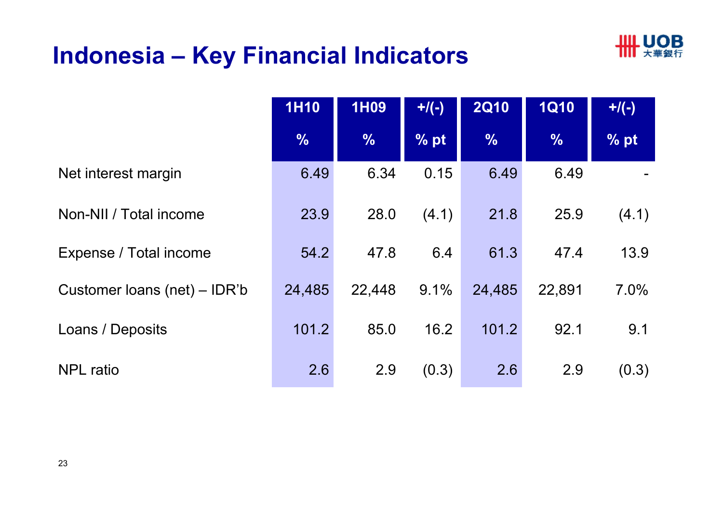### **Indonesia – Key Financial Indicators**



|                              | <b>1H10</b>   | <b>1H09</b>   | $+$ /(-) | <b>2Q10</b>   | <b>1Q10</b>   | $+$ /(-) |
|------------------------------|---------------|---------------|----------|---------------|---------------|----------|
|                              | $\frac{0}{6}$ | $\frac{0}{6}$ | % pt     | $\frac{0}{0}$ | $\frac{0}{6}$ | % pt     |
| Net interest margin          | 6.49          | 6.34          | 0.15     | 6.49          | 6.49          |          |
| Non-NII / Total income       | 23.9          | 28.0          | (4.1)    | 21.8          | 25.9          | (4.1)    |
| Expense / Total income       | 54.2          | 47.8          | 6.4      | 61.3          | 47.4          | 13.9     |
| Customer loans (net) – IDR'b | 24,485        | 22,448        | 9.1%     | 24,485        | 22,891        | 7.0%     |
| Loans / Deposits             | 101.2         | 85.0          | 16.2     | 101.2         | 92.1          | 9.1      |
| <b>NPL</b> ratio             | 2.6           | 2.9           | (0.3)    | 2.6           | 2.9           | (0.3)    |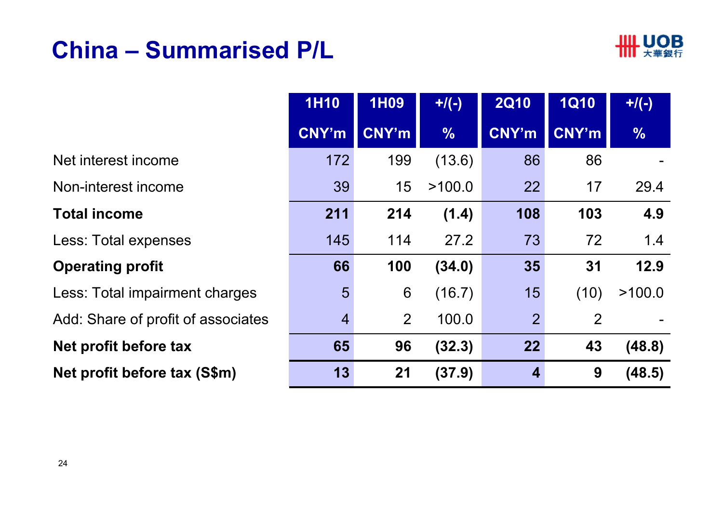### **China – Summarised P/L**



|                                    | <b>1H10</b>    | <b>1H09</b>  | $+$ /(-)      | <b>2Q10</b>    | <b>1Q10</b> | $+/(-)$       |
|------------------------------------|----------------|--------------|---------------|----------------|-------------|---------------|
|                                    | <b>CNY'm</b>   | <b>CNY'm</b> | $\frac{9}{6}$ | <b>CNY'm</b>   | CNY'm       | $\frac{9}{6}$ |
| Net interest income                | 172            | 199          | (13.6)        | 86             | 86          |               |
| Non-interest income                | 39             | 15           | >100.0        | 22             | 17          | 29.4          |
| <b>Total income</b>                | 211            | 214          | (1.4)         | 108            | 103         | 4.9           |
| Less: Total expenses               | 145            | 114          | 27.2          | 73             | 72          | 1.4           |
| <b>Operating profit</b>            | 66             | 100          | (34.0)        | 35             | 31          | 12.9          |
| Less: Total impairment charges     | 5              | 6            | (16.7)        | 15             | (10)        | >100.0        |
| Add: Share of profit of associates | $\overline{4}$ | 2            | 100.0         | $\overline{2}$ | 2           |               |
| Net profit before tax              | 65             | 96           | (32.3)        | 22             | 43          | (48.8)        |
| Net profit before tax (S\$m)       | 13             | 21           | (37.9)        | $\overline{4}$ | 9           | (48.5)        |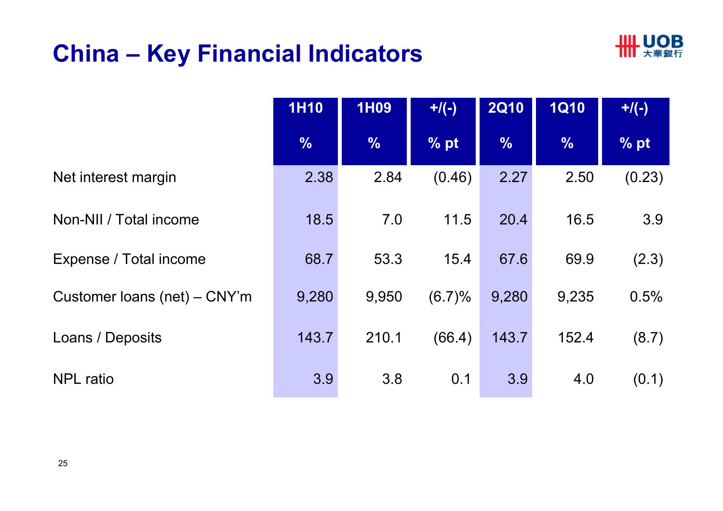### **China – Key Financial Indicators**



|                              | <b>1H10</b>   | <b>1H09</b>   | $+$ /(-) | <b>2Q10</b> | <b>1Q10</b>   | $+$ /(-) |
|------------------------------|---------------|---------------|----------|-------------|---------------|----------|
|                              | $\frac{0}{0}$ | $\frac{9}{6}$ | $\%$ pt  | $\%$        | $\frac{9}{6}$ | % pt     |
| Net interest margin          | 2.38          | 2.84          | (0.46)   | 2.27        | 2.50          | (0.23)   |
| Non-NII / Total income       | 18.5          | 7.0           | 11.5     | 20.4        | 16.5          | 3.9      |
| Expense / Total income       | 68.7          | 53.3          | 15.4     | 67.6        | 69.9          | (2.3)    |
| Customer loans (net) - CNY'm | 9,280         | 9,950         | (6.7)%   | 9,280       | 9,235         | 0.5%     |
| Loans / Deposits             | 143.7         | 210.1         | (66.4)   | 143.7       | 152.4         | (8.7)    |
| <b>NPL</b> ratio             | 3.9           | 3.8           | 0.1      | 3.9         | 4.0           | (0.1)    |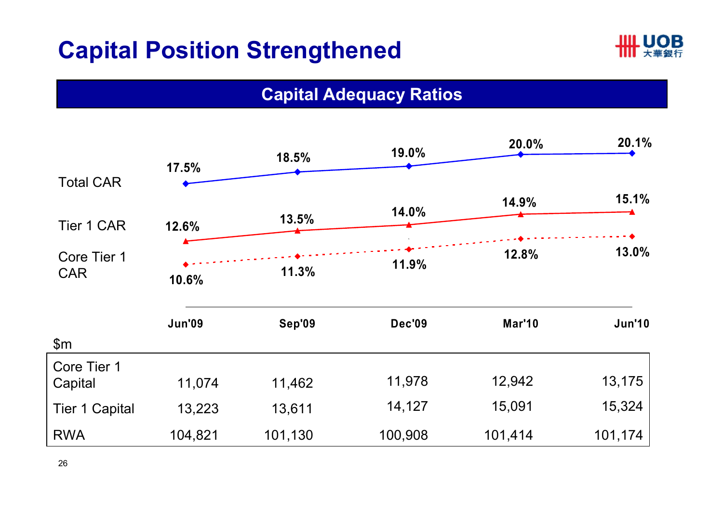### **Capital Position Strengthened**



#### **Capital Adequacy Ratios**

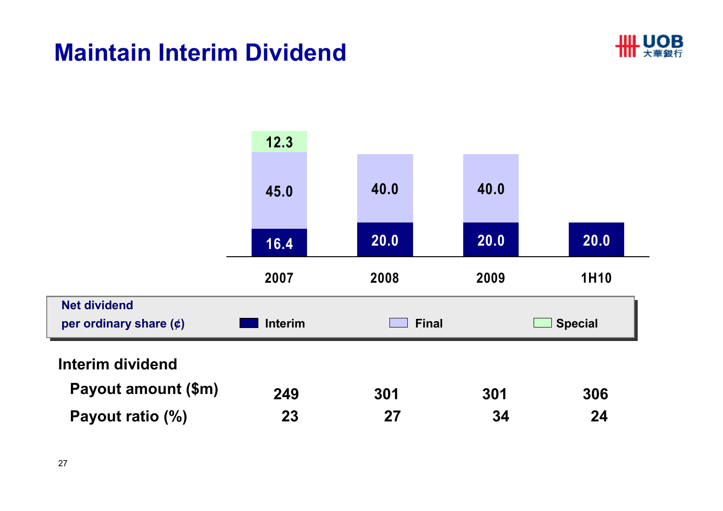### **Maintain Interim Dividend**



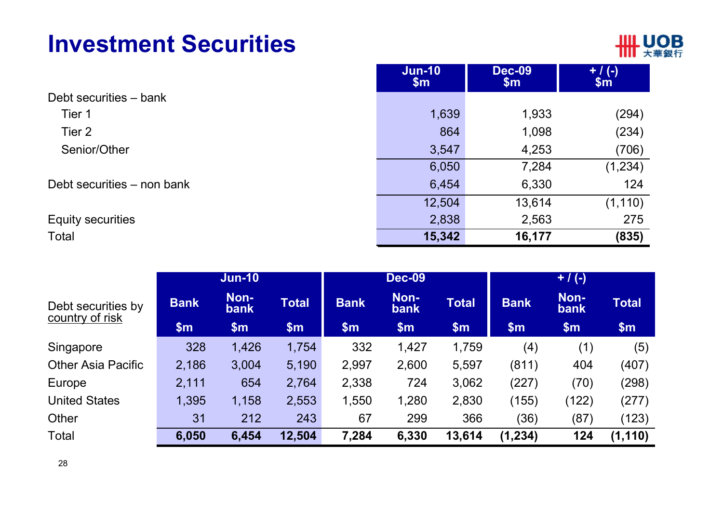### **Investment Securities**



|                            | $Jun-10$<br>\$m\$ | <b>Dec-09</b><br>\$m\$ | $+ / (-)$<br>$\sin$ |
|----------------------------|-------------------|------------------------|---------------------|
| Debt securities - bank     |                   |                        |                     |
| Tier 1                     | 1,639             | 1,933                  | (294)               |
| Tier 2                     | 864               | 1,098                  | (234)               |
| Senior/Other               | 3,547             | 4,253                  | (706)               |
|                            | 6,050             | 7,284                  | (1, 234)            |
| Debt securities – non bank | 6,454             | 6,330                  | 124                 |
|                            | 12,504            | 13,614                 | (1, 110)            |
| <b>Equity securities</b>   | 2,838             | 2,563                  | 275                 |
| Total                      | 15,342            | 16,177                 | (835)               |

|                                       |             | <b>Jun-10</b>       |              | <b>Dec-09</b> |              |              | $+ / (-)$      |              |              |
|---------------------------------------|-------------|---------------------|--------------|---------------|--------------|--------------|----------------|--------------|--------------|
| Debt securities by<br>country of risk | <b>Bank</b> | Non-<br><b>bank</b> | <b>Total</b> | <b>Bank</b>   | Non-<br>bank | <b>Total</b> | <b>Bank</b>    | Non-<br>bank | <b>Total</b> |
|                                       | \$m\$       | \$m\$               | \$m\$        | \$m\$         | \$m\$        | \$m\$        | $\mathbf{\$m}$ | \$m\$        | \$m\$        |
| Singapore                             | 328         | 1,426               | 1,754        | 332           | 1,427        | 1,759        | (4)            | (1)          | (5)          |
| <b>Other Asia Pacific</b>             | 2,186       | 3,004               | 5,190        | 2,997         | 2,600        | 5,597        | (811)          | 404          | (407)        |
| Europe                                | 2,111       | 654                 | 2,764        | 2,338         | 724          | 3,062        | (227)          | (70)         | (298)        |
| <b>United States</b>                  | 1,395       | 1,158               | 2,553        | 1,550         | 1,280        | 2,830        | (155)          | (122)        | (277)        |
| Other                                 | 31          | 212                 | 243          | 67            | 299          | 366          | (36)           | (87)         | (123)        |
| <b>Total</b>                          | 6,050       | 6,454               | 12,504       | 7,284         | 6,330        | 13,614       | (1, 234)       | 124          | (1, 110)     |